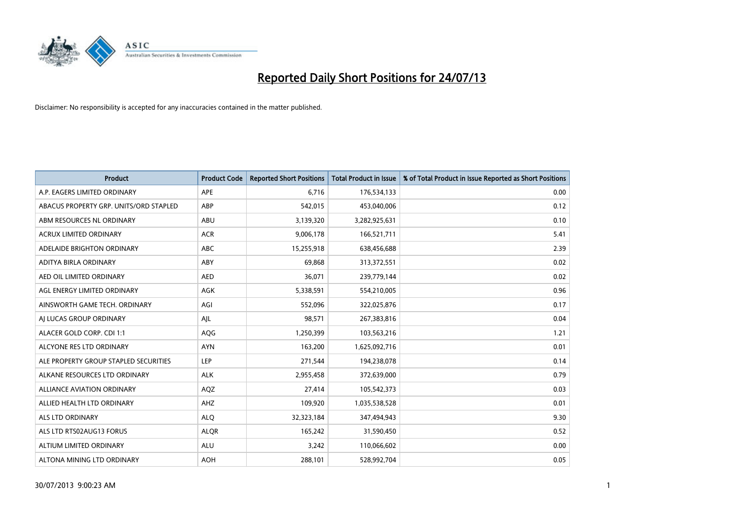

| <b>Product</b>                         | <b>Product Code</b> | <b>Reported Short Positions</b> | <b>Total Product in Issue</b> | % of Total Product in Issue Reported as Short Positions |
|----------------------------------------|---------------------|---------------------------------|-------------------------------|---------------------------------------------------------|
| A.P. EAGERS LIMITED ORDINARY           | <b>APE</b>          | 6,716                           | 176,534,133                   | 0.00                                                    |
| ABACUS PROPERTY GRP. UNITS/ORD STAPLED | ABP                 | 542,015                         | 453,040,006                   | 0.12                                                    |
| ABM RESOURCES NL ORDINARY              | ABU                 | 3,139,320                       | 3,282,925,631                 | 0.10                                                    |
| <b>ACRUX LIMITED ORDINARY</b>          | <b>ACR</b>          | 9,006,178                       | 166,521,711                   | 5.41                                                    |
| ADELAIDE BRIGHTON ORDINARY             | <b>ABC</b>          | 15,255,918                      | 638,456,688                   | 2.39                                                    |
| ADITYA BIRLA ORDINARY                  | ABY                 | 69,868                          | 313,372,551                   | 0.02                                                    |
| AED OIL LIMITED ORDINARY               | <b>AED</b>          | 36,071                          | 239,779,144                   | 0.02                                                    |
| AGL ENERGY LIMITED ORDINARY            | AGK                 | 5,338,591                       | 554,210,005                   | 0.96                                                    |
| AINSWORTH GAME TECH. ORDINARY          | AGI                 | 552,096                         | 322,025,876                   | 0.17                                                    |
| AI LUCAS GROUP ORDINARY                | AJL                 | 98,571                          | 267,383,816                   | 0.04                                                    |
| ALACER GOLD CORP. CDI 1:1              | AQG                 | 1,250,399                       | 103,563,216                   | 1.21                                                    |
| ALCYONE RES LTD ORDINARY               | <b>AYN</b>          | 163,200                         | 1,625,092,716                 | 0.01                                                    |
| ALE PROPERTY GROUP STAPLED SECURITIES  | <b>LEP</b>          | 271,544                         | 194,238,078                   | 0.14                                                    |
| ALKANE RESOURCES LTD ORDINARY          | <b>ALK</b>          | 2,955,458                       | 372,639,000                   | 0.79                                                    |
| <b>ALLIANCE AVIATION ORDINARY</b>      | AQZ                 | 27,414                          | 105,542,373                   | 0.03                                                    |
| ALLIED HEALTH LTD ORDINARY             | AHZ                 | 109,920                         | 1,035,538,528                 | 0.01                                                    |
| ALS LTD ORDINARY                       | <b>ALQ</b>          | 32,323,184                      | 347,494,943                   | 9.30                                                    |
| ALS LTD RTS02AUG13 FORUS               | <b>ALQR</b>         | 165,242                         | 31,590,450                    | 0.52                                                    |
| ALTIUM LIMITED ORDINARY                | <b>ALU</b>          | 3,242                           | 110,066,602                   | 0.00                                                    |
| ALTONA MINING LTD ORDINARY             | <b>AOH</b>          | 288,101                         | 528,992,704                   | 0.05                                                    |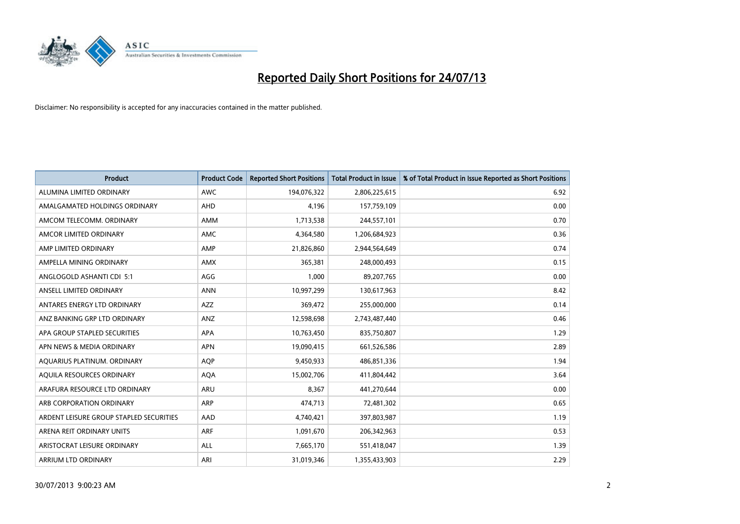

| <b>Product</b>                          | <b>Product Code</b> | <b>Reported Short Positions</b> | <b>Total Product in Issue</b> | % of Total Product in Issue Reported as Short Positions |
|-----------------------------------------|---------------------|---------------------------------|-------------------------------|---------------------------------------------------------|
| ALUMINA LIMITED ORDINARY                | <b>AWC</b>          | 194,076,322                     | 2,806,225,615                 | 6.92                                                    |
| AMALGAMATED HOLDINGS ORDINARY           | AHD                 | 4,196                           | 157,759,109                   | 0.00                                                    |
| AMCOM TELECOMM, ORDINARY                | AMM                 | 1,713,538                       | 244,557,101                   | 0.70                                                    |
| AMCOR LIMITED ORDINARY                  | AMC                 | 4,364,580                       | 1,206,684,923                 | 0.36                                                    |
| AMP LIMITED ORDINARY                    | AMP                 | 21,826,860                      | 2,944,564,649                 | 0.74                                                    |
| AMPELLA MINING ORDINARY                 | <b>AMX</b>          | 365,381                         | 248,000,493                   | 0.15                                                    |
| ANGLOGOLD ASHANTI CDI 5:1               | AGG                 | 1,000                           | 89,207,765                    | 0.00                                                    |
| ANSELL LIMITED ORDINARY                 | <b>ANN</b>          | 10,997,299                      | 130,617,963                   | 8.42                                                    |
| ANTARES ENERGY LTD ORDINARY             | <b>AZZ</b>          | 369,472                         | 255,000,000                   | 0.14                                                    |
| ANZ BANKING GRP LTD ORDINARY            | ANZ                 | 12,598,698                      | 2,743,487,440                 | 0.46                                                    |
| APA GROUP STAPLED SECURITIES            | APA                 | 10,763,450                      | 835,750,807                   | 1.29                                                    |
| APN NEWS & MEDIA ORDINARY               | <b>APN</b>          | 19,090,415                      | 661,526,586                   | 2.89                                                    |
| AQUARIUS PLATINUM. ORDINARY             | <b>AOP</b>          | 9,450,933                       | 486,851,336                   | 1.94                                                    |
| AQUILA RESOURCES ORDINARY               | <b>AQA</b>          | 15,002,706                      | 411,804,442                   | 3.64                                                    |
| ARAFURA RESOURCE LTD ORDINARY           | <b>ARU</b>          | 8,367                           | 441,270,644                   | 0.00                                                    |
| ARB CORPORATION ORDINARY                | ARP                 | 474,713                         | 72,481,302                    | 0.65                                                    |
| ARDENT LEISURE GROUP STAPLED SECURITIES | AAD                 | 4,740,421                       | 397,803,987                   | 1.19                                                    |
| ARENA REIT ORDINARY UNITS               | <b>ARF</b>          | 1,091,670                       | 206,342,963                   | 0.53                                                    |
| ARISTOCRAT LEISURE ORDINARY             | ALL                 | 7,665,170                       | 551,418,047                   | 1.39                                                    |
| ARRIUM LTD ORDINARY                     | ARI                 | 31,019,346                      | 1,355,433,903                 | 2.29                                                    |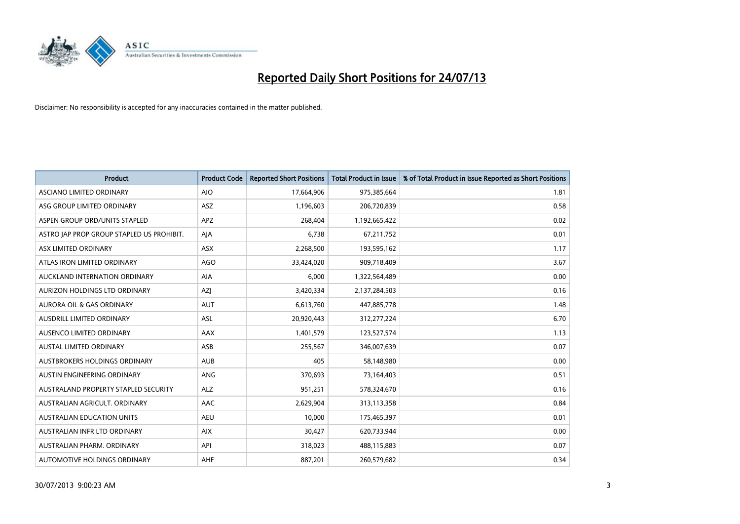

| <b>Product</b>                            | <b>Product Code</b> | <b>Reported Short Positions</b> | <b>Total Product in Issue</b> | % of Total Product in Issue Reported as Short Positions |
|-------------------------------------------|---------------------|---------------------------------|-------------------------------|---------------------------------------------------------|
| ASCIANO LIMITED ORDINARY                  | <b>AIO</b>          | 17,664,906                      | 975,385,664                   | 1.81                                                    |
| ASG GROUP LIMITED ORDINARY                | ASZ                 | 1,196,603                       | 206,720,839                   | 0.58                                                    |
| ASPEN GROUP ORD/UNITS STAPLED             | APZ                 | 268,404                         | 1,192,665,422                 | 0.02                                                    |
| ASTRO JAP PROP GROUP STAPLED US PROHIBIT. | AJA                 | 6,738                           | 67,211,752                    | 0.01                                                    |
| ASX LIMITED ORDINARY                      | ASX                 | 2,268,500                       | 193,595,162                   | 1.17                                                    |
| ATLAS IRON LIMITED ORDINARY               | <b>AGO</b>          | 33,424,020                      | 909,718,409                   | 3.67                                                    |
| AUCKLAND INTERNATION ORDINARY             | AIA                 | 6,000                           | 1,322,564,489                 | 0.00                                                    |
| AURIZON HOLDINGS LTD ORDINARY             | AZJ                 | 3,420,334                       | 2,137,284,503                 | 0.16                                                    |
| <b>AURORA OIL &amp; GAS ORDINARY</b>      | <b>AUT</b>          | 6,613,760                       | 447,885,778                   | 1.48                                                    |
| AUSDRILL LIMITED ORDINARY                 | <b>ASL</b>          | 20,920,443                      | 312,277,224                   | 6.70                                                    |
| AUSENCO LIMITED ORDINARY                  | AAX                 | 1,401,579                       | 123,527,574                   | 1.13                                                    |
| AUSTAL LIMITED ORDINARY                   | ASB                 | 255,567                         | 346,007,639                   | 0.07                                                    |
| <b>AUSTBROKERS HOLDINGS ORDINARY</b>      | <b>AUB</b>          | 405                             | 58,148,980                    | 0.00                                                    |
| AUSTIN ENGINEERING ORDINARY               | <b>ANG</b>          | 370,693                         | 73,164,403                    | 0.51                                                    |
| AUSTRALAND PROPERTY STAPLED SECURITY      | <b>ALZ</b>          | 951,251                         | 578,324,670                   | 0.16                                                    |
| AUSTRALIAN AGRICULT. ORDINARY             | AAC                 | 2,629,904                       | 313,113,358                   | 0.84                                                    |
| <b>AUSTRALIAN EDUCATION UNITS</b>         | <b>AEU</b>          | 10,000                          | 175,465,397                   | 0.01                                                    |
| AUSTRALIAN INFR LTD ORDINARY              | <b>AIX</b>          | 30,427                          | 620,733,944                   | 0.00                                                    |
| AUSTRALIAN PHARM, ORDINARY                | API                 | 318,023                         | 488,115,883                   | 0.07                                                    |
| AUTOMOTIVE HOLDINGS ORDINARY              | <b>AHE</b>          | 887,201                         | 260,579,682                   | 0.34                                                    |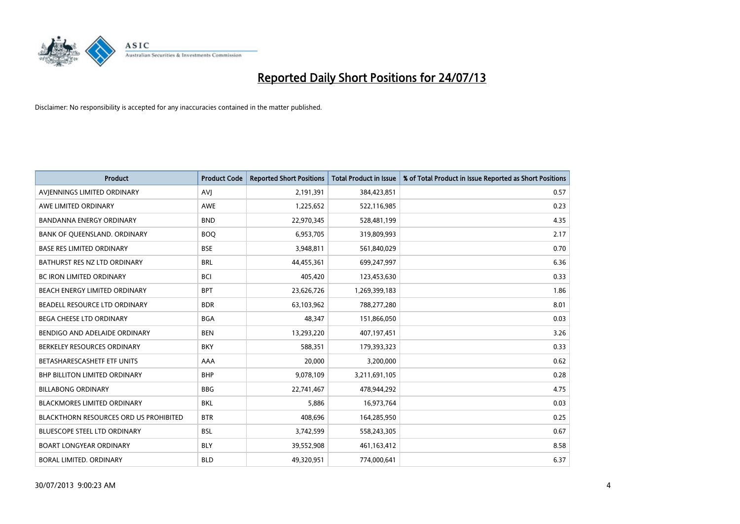

| <b>Product</b>                         | <b>Product Code</b> | <b>Reported Short Positions</b> | <b>Total Product in Issue</b> | % of Total Product in Issue Reported as Short Positions |
|----------------------------------------|---------------------|---------------------------------|-------------------------------|---------------------------------------------------------|
| AVIENNINGS LIMITED ORDINARY            | <b>AVJ</b>          | 2,191,391                       | 384,423,851                   | 0.57                                                    |
| AWE LIMITED ORDINARY                   | <b>AWE</b>          | 1,225,652                       | 522,116,985                   | 0.23                                                    |
| <b>BANDANNA ENERGY ORDINARY</b>        | <b>BND</b>          | 22,970,345                      | 528,481,199                   | 4.35                                                    |
| BANK OF QUEENSLAND. ORDINARY           | <b>BOO</b>          | 6,953,705                       | 319,809,993                   | 2.17                                                    |
| <b>BASE RES LIMITED ORDINARY</b>       | <b>BSE</b>          | 3,948,811                       | 561,840,029                   | 0.70                                                    |
| BATHURST RES NZ LTD ORDINARY           | <b>BRL</b>          | 44,455,361                      | 699,247,997                   | 6.36                                                    |
| <b>BC IRON LIMITED ORDINARY</b>        | <b>BCI</b>          | 405,420                         | 123,453,630                   | 0.33                                                    |
| BEACH ENERGY LIMITED ORDINARY          | <b>BPT</b>          | 23,626,726                      | 1,269,399,183                 | 1.86                                                    |
| BEADELL RESOURCE LTD ORDINARY          | <b>BDR</b>          | 63,103,962                      | 788,277,280                   | 8.01                                                    |
| <b>BEGA CHEESE LTD ORDINARY</b>        | <b>BGA</b>          | 48,347                          | 151,866,050                   | 0.03                                                    |
| BENDIGO AND ADELAIDE ORDINARY          | <b>BEN</b>          | 13,293,220                      | 407,197,451                   | 3.26                                                    |
| BERKELEY RESOURCES ORDINARY            | <b>BKY</b>          | 588,351                         | 179,393,323                   | 0.33                                                    |
| BETASHARESCASHETF ETF UNITS            | AAA                 | 20,000                          | 3,200,000                     | 0.62                                                    |
| <b>BHP BILLITON LIMITED ORDINARY</b>   | <b>BHP</b>          | 9,078,109                       | 3,211,691,105                 | 0.28                                                    |
| <b>BILLABONG ORDINARY</b>              | <b>BBG</b>          | 22,741,467                      | 478,944,292                   | 4.75                                                    |
| <b>BLACKMORES LIMITED ORDINARY</b>     | <b>BKL</b>          | 5,886                           | 16,973,764                    | 0.03                                                    |
| BLACKTHORN RESOURCES ORD US PROHIBITED | <b>BTR</b>          | 408,696                         | 164,285,950                   | 0.25                                                    |
| BLUESCOPE STEEL LTD ORDINARY           | <b>BSL</b>          | 3,742,599                       | 558,243,305                   | 0.67                                                    |
| <b>BOART LONGYEAR ORDINARY</b>         | <b>BLY</b>          | 39,552,908                      | 461,163,412                   | 8.58                                                    |
| <b>BORAL LIMITED, ORDINARY</b>         | <b>BLD</b>          | 49,320,951                      | 774,000,641                   | 6.37                                                    |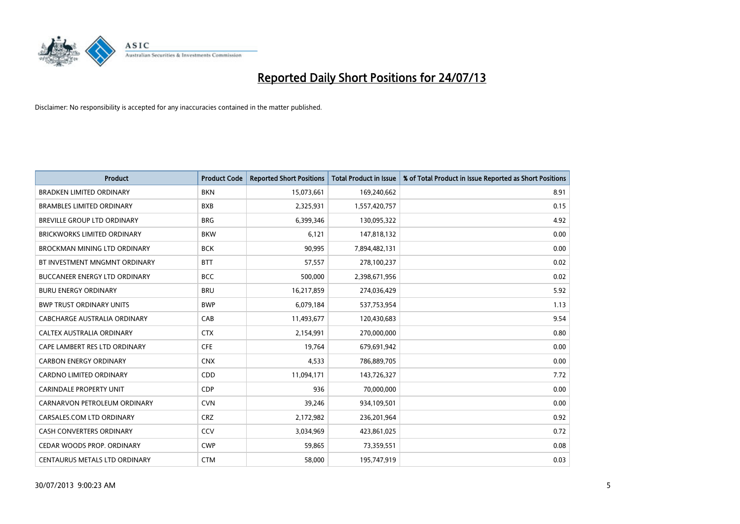

| <b>Product</b>                       | <b>Product Code</b> | <b>Reported Short Positions</b> | <b>Total Product in Issue</b> | % of Total Product in Issue Reported as Short Positions |
|--------------------------------------|---------------------|---------------------------------|-------------------------------|---------------------------------------------------------|
| <b>BRADKEN LIMITED ORDINARY</b>      | <b>BKN</b>          | 15,073,661                      | 169,240,662                   | 8.91                                                    |
| <b>BRAMBLES LIMITED ORDINARY</b>     | <b>BXB</b>          | 2,325,931                       | 1,557,420,757                 | 0.15                                                    |
| BREVILLE GROUP LTD ORDINARY          | <b>BRG</b>          | 6,399,346                       | 130,095,322                   | 4.92                                                    |
| BRICKWORKS LIMITED ORDINARY          | <b>BKW</b>          | 6,121                           | 147,818,132                   | 0.00                                                    |
| <b>BROCKMAN MINING LTD ORDINARY</b>  | <b>BCK</b>          | 90,995                          | 7,894,482,131                 | 0.00                                                    |
| BT INVESTMENT MNGMNT ORDINARY        | <b>BTT</b>          | 57,557                          | 278,100,237                   | 0.02                                                    |
| <b>BUCCANEER ENERGY LTD ORDINARY</b> | <b>BCC</b>          | 500,000                         | 2,398,671,956                 | 0.02                                                    |
| <b>BURU ENERGY ORDINARY</b>          | <b>BRU</b>          | 16,217,859                      | 274,036,429                   | 5.92                                                    |
| <b>BWP TRUST ORDINARY UNITS</b>      | <b>BWP</b>          | 6,079,184                       | 537,753,954                   | 1.13                                                    |
| <b>CABCHARGE AUSTRALIA ORDINARY</b>  | CAB                 | 11,493,677                      | 120,430,683                   | 9.54                                                    |
| CALTEX AUSTRALIA ORDINARY            | <b>CTX</b>          | 2,154,991                       | 270,000,000                   | 0.80                                                    |
| CAPE LAMBERT RES LTD ORDINARY        | <b>CFE</b>          | 19,764                          | 679,691,942                   | 0.00                                                    |
| <b>CARBON ENERGY ORDINARY</b>        | <b>CNX</b>          | 4,533                           | 786,889,705                   | 0.00                                                    |
| <b>CARDNO LIMITED ORDINARY</b>       | CDD                 | 11,094,171                      | 143,726,327                   | 7.72                                                    |
| <b>CARINDALE PROPERTY UNIT</b>       | <b>CDP</b>          | 936                             | 70,000,000                    | 0.00                                                    |
| CARNARVON PETROLEUM ORDINARY         | <b>CVN</b>          | 39,246                          | 934,109,501                   | 0.00                                                    |
| CARSALES.COM LTD ORDINARY            | <b>CRZ</b>          | 2,172,982                       | 236,201,964                   | 0.92                                                    |
| CASH CONVERTERS ORDINARY             | CCV                 | 3,034,969                       | 423,861,025                   | 0.72                                                    |
| CEDAR WOODS PROP. ORDINARY           | <b>CWP</b>          | 59,865                          | 73,359,551                    | 0.08                                                    |
| CENTAURUS METALS LTD ORDINARY        | <b>CTM</b>          | 58,000                          | 195,747,919                   | 0.03                                                    |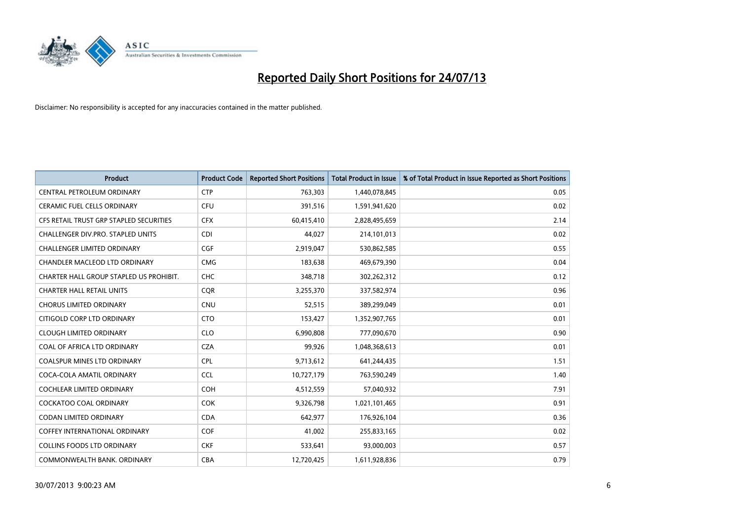

| <b>Product</b>                          | <b>Product Code</b> | <b>Reported Short Positions</b> | <b>Total Product in Issue</b> | % of Total Product in Issue Reported as Short Positions |
|-----------------------------------------|---------------------|---------------------------------|-------------------------------|---------------------------------------------------------|
| CENTRAL PETROLEUM ORDINARY              | <b>CTP</b>          | 763,303                         | 1,440,078,845                 | 0.05                                                    |
| CERAMIC FUEL CELLS ORDINARY             | <b>CFU</b>          | 391,516                         | 1,591,941,620                 | 0.02                                                    |
| CFS RETAIL TRUST GRP STAPLED SECURITIES | <b>CFX</b>          | 60,415,410                      | 2,828,495,659                 | 2.14                                                    |
| CHALLENGER DIV.PRO. STAPLED UNITS       | <b>CDI</b>          | 44,027                          | 214,101,013                   | 0.02                                                    |
| <b>CHALLENGER LIMITED ORDINARY</b>      | <b>CGF</b>          | 2,919,047                       | 530,862,585                   | 0.55                                                    |
| CHANDLER MACLEOD LTD ORDINARY           | <b>CMG</b>          | 183,638                         | 469,679,390                   | 0.04                                                    |
| CHARTER HALL GROUP STAPLED US PROHIBIT. | <b>CHC</b>          | 348,718                         | 302,262,312                   | 0.12                                                    |
| <b>CHARTER HALL RETAIL UNITS</b>        | <b>CQR</b>          | 3,255,370                       | 337,582,974                   | 0.96                                                    |
| <b>CHORUS LIMITED ORDINARY</b>          | <b>CNU</b>          | 52,515                          | 389,299,049                   | 0.01                                                    |
| CITIGOLD CORP LTD ORDINARY              | <b>CTO</b>          | 153,427                         | 1,352,907,765                 | 0.01                                                    |
| <b>CLOUGH LIMITED ORDINARY</b>          | <b>CLO</b>          | 6,990,808                       | 777,090,670                   | 0.90                                                    |
| COAL OF AFRICA LTD ORDINARY             | <b>CZA</b>          | 99,926                          | 1,048,368,613                 | 0.01                                                    |
| <b>COALSPUR MINES LTD ORDINARY</b>      | <b>CPL</b>          | 9,713,612                       | 641,244,435                   | 1.51                                                    |
| COCA-COLA AMATIL ORDINARY               | <b>CCL</b>          | 10,727,179                      | 763,590,249                   | 1.40                                                    |
| <b>COCHLEAR LIMITED ORDINARY</b>        | <b>COH</b>          | 4,512,559                       | 57,040,932                    | 7.91                                                    |
| <b>COCKATOO COAL ORDINARY</b>           | COK                 | 9,326,798                       | 1,021,101,465                 | 0.91                                                    |
| CODAN LIMITED ORDINARY                  | <b>CDA</b>          | 642,977                         | 176,926,104                   | 0.36                                                    |
| <b>COFFEY INTERNATIONAL ORDINARY</b>    | <b>COF</b>          | 41,002                          | 255,833,165                   | 0.02                                                    |
| COLLINS FOODS LTD ORDINARY              | <b>CKF</b>          | 533,641                         | 93,000,003                    | 0.57                                                    |
| COMMONWEALTH BANK, ORDINARY             | <b>CBA</b>          | 12,720,425                      | 1,611,928,836                 | 0.79                                                    |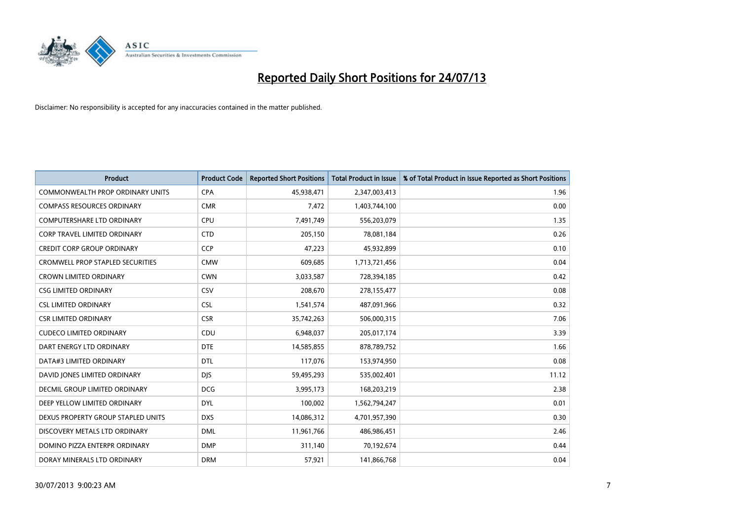

| <b>Product</b>                          | <b>Product Code</b> | <b>Reported Short Positions</b> | <b>Total Product in Issue</b> | % of Total Product in Issue Reported as Short Positions |
|-----------------------------------------|---------------------|---------------------------------|-------------------------------|---------------------------------------------------------|
| <b>COMMONWEALTH PROP ORDINARY UNITS</b> | <b>CPA</b>          | 45,938,471                      | 2,347,003,413                 | 1.96                                                    |
| <b>COMPASS RESOURCES ORDINARY</b>       | <b>CMR</b>          | 7,472                           | 1,403,744,100                 | 0.00                                                    |
| <b>COMPUTERSHARE LTD ORDINARY</b>       | <b>CPU</b>          | 7,491,749                       | 556,203,079                   | 1.35                                                    |
| CORP TRAVEL LIMITED ORDINARY            | <b>CTD</b>          | 205,150                         | 78,081,184                    | 0.26                                                    |
| <b>CREDIT CORP GROUP ORDINARY</b>       | <b>CCP</b>          | 47,223                          | 45,932,899                    | 0.10                                                    |
| <b>CROMWELL PROP STAPLED SECURITIES</b> | <b>CMW</b>          | 609,685                         | 1,713,721,456                 | 0.04                                                    |
| <b>CROWN LIMITED ORDINARY</b>           | <b>CWN</b>          | 3,033,587                       | 728,394,185                   | 0.42                                                    |
| <b>CSG LIMITED ORDINARY</b>             | CSV                 | 208,670                         | 278,155,477                   | 0.08                                                    |
| <b>CSL LIMITED ORDINARY</b>             | <b>CSL</b>          | 1,541,574                       | 487,091,966                   | 0.32                                                    |
| <b>CSR LIMITED ORDINARY</b>             | <b>CSR</b>          | 35,742,263                      | 506,000,315                   | 7.06                                                    |
| <b>CUDECO LIMITED ORDINARY</b>          | CDU                 | 6,948,037                       | 205,017,174                   | 3.39                                                    |
| DART ENERGY LTD ORDINARY                | <b>DTE</b>          | 14,585,855                      | 878,789,752                   | 1.66                                                    |
| DATA#3 LIMITED ORDINARY                 | <b>DTL</b>          | 117,076                         | 153,974,950                   | 0.08                                                    |
| DAVID JONES LIMITED ORDINARY            | <b>DJS</b>          | 59,495,293                      | 535,002,401                   | 11.12                                                   |
| DECMIL GROUP LIMITED ORDINARY           | <b>DCG</b>          | 3,995,173                       | 168,203,219                   | 2.38                                                    |
| DEEP YELLOW LIMITED ORDINARY            | <b>DYL</b>          | 100,002                         | 1,562,794,247                 | 0.01                                                    |
| DEXUS PROPERTY GROUP STAPLED UNITS      | <b>DXS</b>          | 14,086,312                      | 4,701,957,390                 | 0.30                                                    |
| DISCOVERY METALS LTD ORDINARY           | <b>DML</b>          | 11,961,766                      | 486,986,451                   | 2.46                                                    |
| DOMINO PIZZA ENTERPR ORDINARY           | <b>DMP</b>          | 311,140                         | 70,192,674                    | 0.44                                                    |
| DORAY MINERALS LTD ORDINARY             | <b>DRM</b>          | 57,921                          | 141,866,768                   | 0.04                                                    |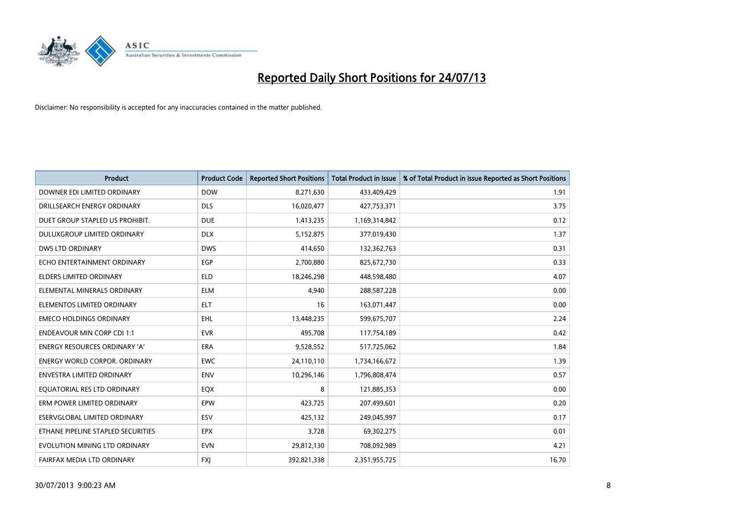

| <b>Product</b>                       | <b>Product Code</b> | <b>Reported Short Positions</b> | <b>Total Product in Issue</b> | % of Total Product in Issue Reported as Short Positions |
|--------------------------------------|---------------------|---------------------------------|-------------------------------|---------------------------------------------------------|
| DOWNER EDI LIMITED ORDINARY          | <b>DOW</b>          | 8,271,630                       | 433,409,429                   | 1.91                                                    |
| DRILLSEARCH ENERGY ORDINARY          | <b>DLS</b>          | 16,020,477                      | 427,753,371                   | 3.75                                                    |
| DUET GROUP STAPLED US PROHIBIT.      | <b>DUE</b>          | 1,413,235                       | 1,169,314,842                 | 0.12                                                    |
| DULUXGROUP LIMITED ORDINARY          | <b>DLX</b>          | 5,152,875                       | 377,019,430                   | 1.37                                                    |
| <b>DWS LTD ORDINARY</b>              | <b>DWS</b>          | 414,650                         | 132,362,763                   | 0.31                                                    |
| ECHO ENTERTAINMENT ORDINARY          | EGP                 | 2,700,880                       | 825,672,730                   | 0.33                                                    |
| <b>ELDERS LIMITED ORDINARY</b>       | <b>ELD</b>          | 18,246,298                      | 448,598,480                   | 4.07                                                    |
| ELEMENTAL MINERALS ORDINARY          | <b>ELM</b>          | 4,940                           | 288,587,228                   | 0.00                                                    |
| ELEMENTOS LIMITED ORDINARY           | <b>ELT</b>          | 16                              | 163,071,447                   | 0.00                                                    |
| <b>EMECO HOLDINGS ORDINARY</b>       | <b>EHL</b>          | 13,448,235                      | 599,675,707                   | 2.24                                                    |
| <b>ENDEAVOUR MIN CORP CDI 1:1</b>    | <b>EVR</b>          | 495,708                         | 117,754,189                   | 0.42                                                    |
| <b>ENERGY RESOURCES ORDINARY 'A'</b> | ERA                 | 9,528,552                       | 517,725,062                   | 1.84                                                    |
| <b>ENERGY WORLD CORPOR. ORDINARY</b> | <b>EWC</b>          | 24,110,110                      | 1,734,166,672                 | 1.39                                                    |
| <b>ENVESTRA LIMITED ORDINARY</b>     | ENV                 | 10,296,146                      | 1,796,808,474                 | 0.57                                                    |
| EQUATORIAL RES LTD ORDINARY          | EQX                 | 8                               | 121,885,353                   | 0.00                                                    |
| ERM POWER LIMITED ORDINARY           | EPW                 | 423,725                         | 207,499,601                   | 0.20                                                    |
| ESERVGLOBAL LIMITED ORDINARY         | ESV                 | 425,132                         | 249,045,997                   | 0.17                                                    |
| ETHANE PIPELINE STAPLED SECURITIES   | <b>EPX</b>          | 3,728                           | 69,302,275                    | 0.01                                                    |
| EVOLUTION MINING LTD ORDINARY        | <b>EVN</b>          | 29,812,130                      | 708,092,989                   | 4.21                                                    |
| FAIRFAX MEDIA LTD ORDINARY           | <b>FXJ</b>          | 392,821,338                     | 2,351,955,725                 | 16.70                                                   |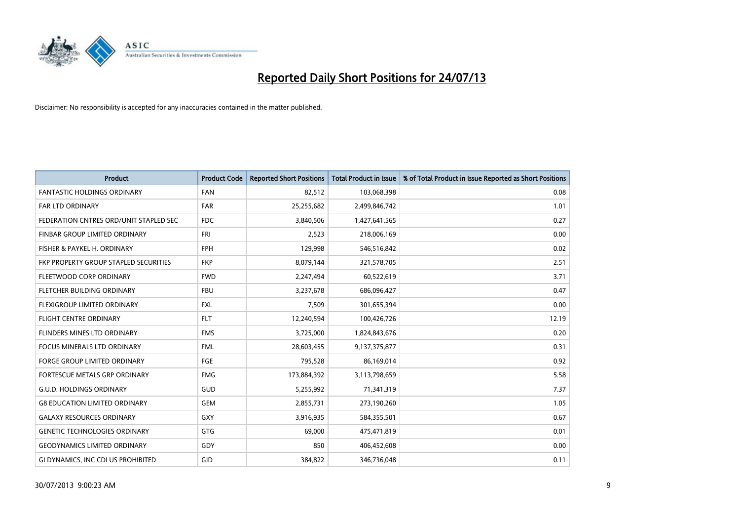

| <b>Product</b>                         | <b>Product Code</b> | <b>Reported Short Positions</b> | <b>Total Product in Issue</b> | % of Total Product in Issue Reported as Short Positions |
|----------------------------------------|---------------------|---------------------------------|-------------------------------|---------------------------------------------------------|
| <b>FANTASTIC HOLDINGS ORDINARY</b>     | <b>FAN</b>          | 82,512                          | 103,068,398                   | 0.08                                                    |
| FAR LTD ORDINARY                       | <b>FAR</b>          | 25,255,682                      | 2,499,846,742                 | 1.01                                                    |
| FEDERATION CNTRES ORD/UNIT STAPLED SEC | <b>FDC</b>          | 3,840,506                       | 1,427,641,565                 | 0.27                                                    |
| FINBAR GROUP LIMITED ORDINARY          | <b>FRI</b>          | 2,523                           | 218,006,169                   | 0.00                                                    |
| FISHER & PAYKEL H. ORDINARY            | <b>FPH</b>          | 129,998                         | 546,516,842                   | 0.02                                                    |
| FKP PROPERTY GROUP STAPLED SECURITIES  | <b>FKP</b>          | 8,079,144                       | 321,578,705                   | 2.51                                                    |
| FLEETWOOD CORP ORDINARY                | <b>FWD</b>          | 2,247,494                       | 60,522,619                    | 3.71                                                    |
| FLETCHER BUILDING ORDINARY             | <b>FBU</b>          | 3,237,678                       | 686,096,427                   | 0.47                                                    |
| FLEXIGROUP LIMITED ORDINARY            | <b>FXL</b>          | 7,509                           | 301,655,394                   | 0.00                                                    |
| <b>FLIGHT CENTRE ORDINARY</b>          | <b>FLT</b>          | 12,240,594                      | 100,426,726                   | 12.19                                                   |
| FLINDERS MINES LTD ORDINARY            | <b>FMS</b>          | 3,725,000                       | 1,824,843,676                 | 0.20                                                    |
| <b>FOCUS MINERALS LTD ORDINARY</b>     | <b>FML</b>          | 28,603,455                      | 9,137,375,877                 | 0.31                                                    |
| FORGE GROUP LIMITED ORDINARY           | FGE                 | 795,528                         | 86,169,014                    | 0.92                                                    |
| FORTESCUE METALS GRP ORDINARY          | <b>FMG</b>          | 173,884,392                     | 3,113,798,659                 | 5.58                                                    |
| <b>G.U.D. HOLDINGS ORDINARY</b>        | <b>GUD</b>          | 5,255,992                       | 71,341,319                    | 7.37                                                    |
| <b>G8 EDUCATION LIMITED ORDINARY</b>   | <b>GEM</b>          | 2,855,731                       | 273,190,260                   | 1.05                                                    |
| <b>GALAXY RESOURCES ORDINARY</b>       | GXY                 | 3,916,935                       | 584,355,501                   | 0.67                                                    |
| <b>GENETIC TECHNOLOGIES ORDINARY</b>   | GTG                 | 69,000                          | 475,471,819                   | 0.01                                                    |
| <b>GEODYNAMICS LIMITED ORDINARY</b>    | GDY                 | 850                             | 406,452,608                   | 0.00                                                    |
| GI DYNAMICS, INC CDI US PROHIBITED     | GID                 | 384,822                         | 346,736,048                   | 0.11                                                    |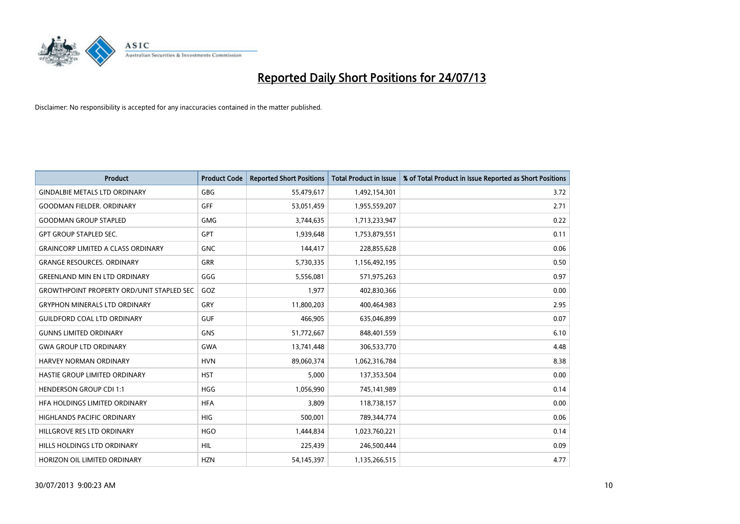

| Product                                          | <b>Product Code</b> | <b>Reported Short Positions</b> | <b>Total Product in Issue</b> | % of Total Product in Issue Reported as Short Positions |
|--------------------------------------------------|---------------------|---------------------------------|-------------------------------|---------------------------------------------------------|
| <b>GINDALBIE METALS LTD ORDINARY</b>             | GBG                 | 55,479,617                      | 1,492,154,301                 | 3.72                                                    |
| <b>GOODMAN FIELDER. ORDINARY</b>                 | <b>GFF</b>          | 53,051,459                      | 1,955,559,207                 | 2.71                                                    |
| <b>GOODMAN GROUP STAPLED</b>                     | <b>GMG</b>          | 3,744,635                       | 1,713,233,947                 | 0.22                                                    |
| <b>GPT GROUP STAPLED SEC.</b>                    | GPT                 | 1,939,648                       | 1,753,879,551                 | 0.11                                                    |
| <b>GRAINCORP LIMITED A CLASS ORDINARY</b>        | <b>GNC</b>          | 144,417                         | 228,855,628                   | 0.06                                                    |
| <b>GRANGE RESOURCES, ORDINARY</b>                | GRR                 | 5,730,335                       | 1,156,492,195                 | 0.50                                                    |
| <b>GREENLAND MIN EN LTD ORDINARY</b>             | GGG                 | 5,556,081                       | 571,975,263                   | 0.97                                                    |
| <b>GROWTHPOINT PROPERTY ORD/UNIT STAPLED SEC</b> | GOZ                 | 1,977                           | 402,830,366                   | 0.00                                                    |
| <b>GRYPHON MINERALS LTD ORDINARY</b>             | GRY                 | 11,800,203                      | 400,464,983                   | 2.95                                                    |
| <b>GUILDFORD COAL LTD ORDINARY</b>               | <b>GUF</b>          | 466,905                         | 635,046,899                   | 0.07                                                    |
| <b>GUNNS LIMITED ORDINARY</b>                    | <b>GNS</b>          | 51,772,667                      | 848,401,559                   | 6.10                                                    |
| <b>GWA GROUP LTD ORDINARY</b>                    | <b>GWA</b>          | 13,741,448                      | 306,533,770                   | 4.48                                                    |
| <b>HARVEY NORMAN ORDINARY</b>                    | <b>HVN</b>          | 89,060,374                      | 1,062,316,784                 | 8.38                                                    |
| HASTIE GROUP LIMITED ORDINARY                    | <b>HST</b>          | 5,000                           | 137,353,504                   | 0.00                                                    |
| HENDERSON GROUP CDI 1:1                          | <b>HGG</b>          | 1,056,990                       | 745,141,989                   | 0.14                                                    |
| HFA HOLDINGS LIMITED ORDINARY                    | <b>HFA</b>          | 3,809                           | 118,738,157                   | 0.00                                                    |
| <b>HIGHLANDS PACIFIC ORDINARY</b>                | <b>HIG</b>          | 500,001                         | 789,344,774                   | 0.06                                                    |
| HILLGROVE RES LTD ORDINARY                       | <b>HGO</b>          | 1,444,834                       | 1,023,760,221                 | 0.14                                                    |
| HILLS HOLDINGS LTD ORDINARY                      | <b>HIL</b>          | 225,439                         | 246,500,444                   | 0.09                                                    |
| HORIZON OIL LIMITED ORDINARY                     | <b>HZN</b>          | 54,145,397                      | 1,135,266,515                 | 4.77                                                    |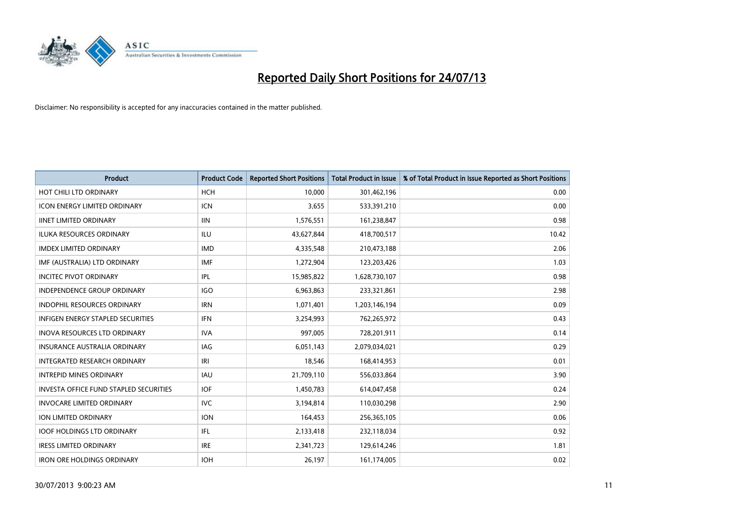

| <b>Product</b>                                | <b>Product Code</b> | <b>Reported Short Positions</b> | <b>Total Product in Issue</b> | % of Total Product in Issue Reported as Short Positions |
|-----------------------------------------------|---------------------|---------------------------------|-------------------------------|---------------------------------------------------------|
| HOT CHILI LTD ORDINARY                        | <b>HCH</b>          | 10.000                          | 301,462,196                   | 0.00                                                    |
| <b>ICON ENERGY LIMITED ORDINARY</b>           | <b>ICN</b>          | 3,655                           | 533,391,210                   | 0.00                                                    |
| <b>IINET LIMITED ORDINARY</b>                 | <b>IIN</b>          | 1,576,551                       | 161,238,847                   | 0.98                                                    |
| ILUKA RESOURCES ORDINARY                      | ILU                 | 43,627,844                      | 418,700,517                   | 10.42                                                   |
| <b>IMDEX LIMITED ORDINARY</b>                 | <b>IMD</b>          | 4,335,548                       | 210,473,188                   | 2.06                                                    |
| IMF (AUSTRALIA) LTD ORDINARY                  | <b>IMF</b>          | 1,272,904                       | 123,203,426                   | 1.03                                                    |
| <b>INCITEC PIVOT ORDINARY</b>                 | <b>IPL</b>          | 15,985,822                      | 1,628,730,107                 | 0.98                                                    |
| <b>INDEPENDENCE GROUP ORDINARY</b>            | <b>IGO</b>          | 6,963,863                       | 233,321,861                   | 2.98                                                    |
| <b>INDOPHIL RESOURCES ORDINARY</b>            | <b>IRN</b>          | 1,071,401                       | 1,203,146,194                 | 0.09                                                    |
| <b>INFIGEN ENERGY STAPLED SECURITIES</b>      | <b>IFN</b>          | 3,254,993                       | 762,265,972                   | 0.43                                                    |
| INOVA RESOURCES LTD ORDINARY                  | <b>IVA</b>          | 997,005                         | 728,201,911                   | 0.14                                                    |
| <b>INSURANCE AUSTRALIA ORDINARY</b>           | IAG                 | 6,051,143                       | 2,079,034,021                 | 0.29                                                    |
| <b>INTEGRATED RESEARCH ORDINARY</b>           | IRI                 | 18,546                          | 168,414,953                   | 0.01                                                    |
| <b>INTREPID MINES ORDINARY</b>                | <b>IAU</b>          | 21,709,110                      | 556,033,864                   | 3.90                                                    |
| <b>INVESTA OFFICE FUND STAPLED SECURITIES</b> | <b>IOF</b>          | 1,450,783                       | 614,047,458                   | 0.24                                                    |
| <b>INVOCARE LIMITED ORDINARY</b>              | <b>IVC</b>          | 3,194,814                       | 110,030,298                   | 2.90                                                    |
| ION LIMITED ORDINARY                          | <b>ION</b>          | 164,453                         | 256,365,105                   | 0.06                                                    |
| <b>IOOF HOLDINGS LTD ORDINARY</b>             | IFL                 | 2,133,418                       | 232,118,034                   | 0.92                                                    |
| <b>IRESS LIMITED ORDINARY</b>                 | <b>IRE</b>          | 2,341,723                       | 129,614,246                   | 1.81                                                    |
| <b>IRON ORE HOLDINGS ORDINARY</b>             | <b>IOH</b>          | 26,197                          | 161,174,005                   | 0.02                                                    |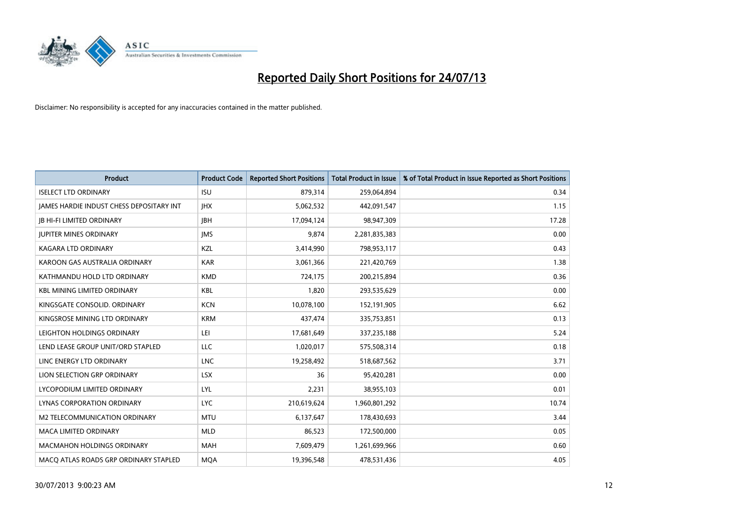

| <b>Product</b>                           | <b>Product Code</b> | <b>Reported Short Positions</b> | <b>Total Product in Issue</b> | % of Total Product in Issue Reported as Short Positions |
|------------------------------------------|---------------------|---------------------------------|-------------------------------|---------------------------------------------------------|
| <b>ISELECT LTD ORDINARY</b>              | <b>ISU</b>          | 879,314                         | 259,064,894                   | 0.34                                                    |
| JAMES HARDIE INDUST CHESS DEPOSITARY INT | <b>IHX</b>          | 5,062,532                       | 442,091,547                   | 1.15                                                    |
| <b>JB HI-FI LIMITED ORDINARY</b>         | <b>IBH</b>          | 17,094,124                      | 98,947,309                    | 17.28                                                   |
| <b>JUPITER MINES ORDINARY</b>            | <b>IMS</b>          | 9,874                           | 2,281,835,383                 | 0.00                                                    |
| <b>KAGARA LTD ORDINARY</b>               | KZL                 | 3,414,990                       | 798,953,117                   | 0.43                                                    |
| KAROON GAS AUSTRALIA ORDINARY            | <b>KAR</b>          | 3,061,366                       | 221,420,769                   | 1.38                                                    |
| KATHMANDU HOLD LTD ORDINARY              | <b>KMD</b>          | 724,175                         | 200,215,894                   | 0.36                                                    |
| <b>KBL MINING LIMITED ORDINARY</b>       | <b>KBL</b>          | 1,820                           | 293,535,629                   | 0.00                                                    |
| KINGSGATE CONSOLID. ORDINARY             | <b>KCN</b>          | 10,078,100                      | 152,191,905                   | 6.62                                                    |
| KINGSROSE MINING LTD ORDINARY            | <b>KRM</b>          | 437,474                         | 335,753,851                   | 0.13                                                    |
| LEIGHTON HOLDINGS ORDINARY               | LEI                 | 17,681,649                      | 337,235,188                   | 5.24                                                    |
| LEND LEASE GROUP UNIT/ORD STAPLED        | LLC                 | 1,020,017                       | 575,508,314                   | 0.18                                                    |
| LINC ENERGY LTD ORDINARY                 | <b>LNC</b>          | 19,258,492                      | 518,687,562                   | 3.71                                                    |
| LION SELECTION GRP ORDINARY              | <b>LSX</b>          | 36                              | 95,420,281                    | 0.00                                                    |
| LYCOPODIUM LIMITED ORDINARY              | LYL                 | 2,231                           | 38,955,103                    | 0.01                                                    |
| LYNAS CORPORATION ORDINARY               | <b>LYC</b>          | 210,619,624                     | 1,960,801,292                 | 10.74                                                   |
| M2 TELECOMMUNICATION ORDINARY            | <b>MTU</b>          | 6,137,647                       | 178,430,693                   | 3.44                                                    |
| <b>MACA LIMITED ORDINARY</b>             | <b>MLD</b>          | 86,523                          | 172,500,000                   | 0.05                                                    |
| <b>MACMAHON HOLDINGS ORDINARY</b>        | <b>MAH</b>          | 7,609,479                       | 1,261,699,966                 | 0.60                                                    |
| MACO ATLAS ROADS GRP ORDINARY STAPLED    | <b>MQA</b>          | 19,396,548                      | 478,531,436                   | 4.05                                                    |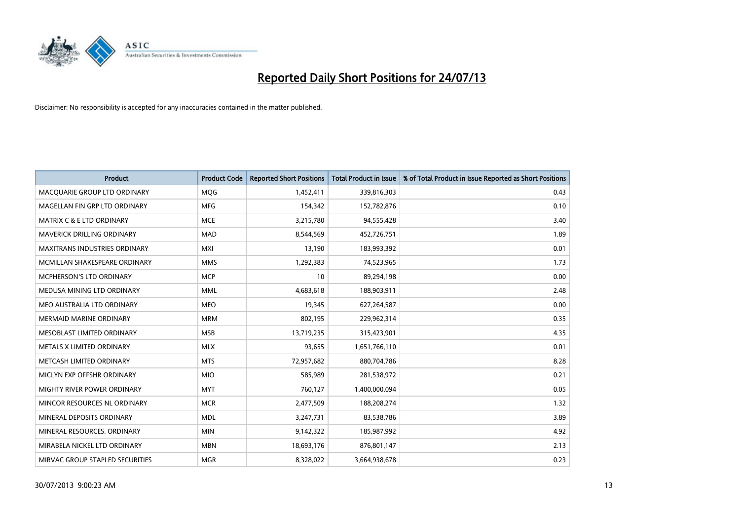

| <b>Product</b>                       | <b>Product Code</b> | <b>Reported Short Positions</b> | <b>Total Product in Issue</b> | % of Total Product in Issue Reported as Short Positions |
|--------------------------------------|---------------------|---------------------------------|-------------------------------|---------------------------------------------------------|
| MACQUARIE GROUP LTD ORDINARY         | MQG                 | 1,452,411                       | 339,816,303                   | 0.43                                                    |
| MAGELLAN FIN GRP LTD ORDINARY        | MFG                 | 154,342                         | 152,782,876                   | 0.10                                                    |
| <b>MATRIX C &amp; E LTD ORDINARY</b> | <b>MCE</b>          | 3,215,780                       | 94,555,428                    | 3.40                                                    |
| <b>MAVERICK DRILLING ORDINARY</b>    | <b>MAD</b>          | 8,544,569                       | 452,726,751                   | 1.89                                                    |
| <b>MAXITRANS INDUSTRIES ORDINARY</b> | <b>MXI</b>          | 13,190                          | 183,993,392                   | 0.01                                                    |
| MCMILLAN SHAKESPEARE ORDINARY        | <b>MMS</b>          | 1,292,383                       | 74,523,965                    | 1.73                                                    |
| <b>MCPHERSON'S LTD ORDINARY</b>      | <b>MCP</b>          | 10                              | 89,294,198                    | 0.00                                                    |
| MEDUSA MINING LTD ORDINARY           | <b>MML</b>          | 4,683,618                       | 188,903,911                   | 2.48                                                    |
| MEO AUSTRALIA LTD ORDINARY           | <b>MEO</b>          | 19,345                          | 627,264,587                   | 0.00                                                    |
| <b>MERMAID MARINE ORDINARY</b>       | <b>MRM</b>          | 802,195                         | 229,962,314                   | 0.35                                                    |
| MESOBLAST LIMITED ORDINARY           | <b>MSB</b>          | 13,719,235                      | 315,423,901                   | 4.35                                                    |
| METALS X LIMITED ORDINARY            | <b>MLX</b>          | 93,655                          | 1,651,766,110                 | 0.01                                                    |
| METCASH LIMITED ORDINARY             | <b>MTS</b>          | 72,957,682                      | 880,704,786                   | 8.28                                                    |
| MICLYN EXP OFFSHR ORDINARY           | <b>MIO</b>          | 585,989                         | 281,538,972                   | 0.21                                                    |
| MIGHTY RIVER POWER ORDINARY          | <b>MYT</b>          | 760,127                         | 1,400,000,094                 | 0.05                                                    |
| MINCOR RESOURCES NL ORDINARY         | <b>MCR</b>          | 2,477,509                       | 188,208,274                   | 1.32                                                    |
| MINERAL DEPOSITS ORDINARY            | <b>MDL</b>          | 3,247,731                       | 83,538,786                    | 3.89                                                    |
| MINERAL RESOURCES. ORDINARY          | <b>MIN</b>          | 9,142,322                       | 185,987,992                   | 4.92                                                    |
| MIRABELA NICKEL LTD ORDINARY         | <b>MBN</b>          | 18,693,176                      | 876,801,147                   | 2.13                                                    |
| MIRVAC GROUP STAPLED SECURITIES      | <b>MGR</b>          | 8,328,022                       | 3,664,938,678                 | 0.23                                                    |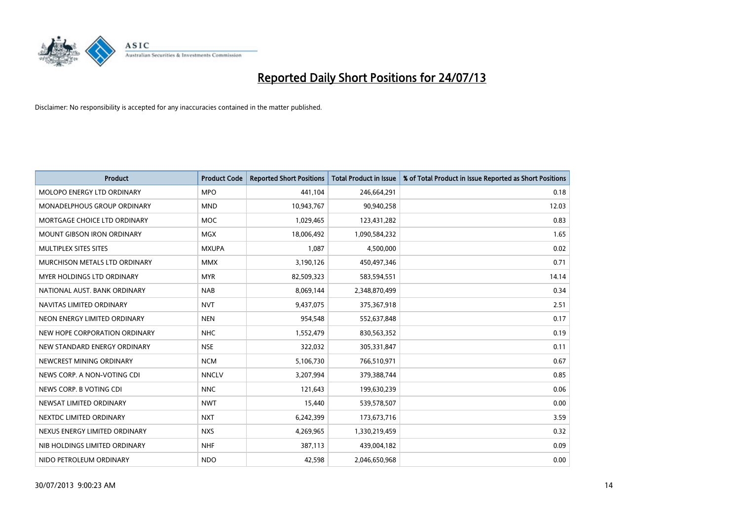

| <b>Product</b>                    | <b>Product Code</b> | <b>Reported Short Positions</b> | <b>Total Product in Issue</b> | % of Total Product in Issue Reported as Short Positions |
|-----------------------------------|---------------------|---------------------------------|-------------------------------|---------------------------------------------------------|
| MOLOPO ENERGY LTD ORDINARY        | <b>MPO</b>          | 441,104                         | 246,664,291                   | 0.18                                                    |
| MONADELPHOUS GROUP ORDINARY       | <b>MND</b>          | 10,943,767                      | 90,940,258                    | 12.03                                                   |
| MORTGAGE CHOICE LTD ORDINARY      | <b>MOC</b>          | 1,029,465                       | 123,431,282                   | 0.83                                                    |
| <b>MOUNT GIBSON IRON ORDINARY</b> | <b>MGX</b>          | 18,006,492                      | 1,090,584,232                 | 1.65                                                    |
| MULTIPLEX SITES SITES             | <b>MXUPA</b>        | 1,087                           | 4,500,000                     | 0.02                                                    |
| MURCHISON METALS LTD ORDINARY     | <b>MMX</b>          | 3,190,126                       | 450,497,346                   | 0.71                                                    |
| MYER HOLDINGS LTD ORDINARY        | <b>MYR</b>          | 82,509,323                      | 583,594,551                   | 14.14                                                   |
| NATIONAL AUST, BANK ORDINARY      | <b>NAB</b>          | 8,069,144                       | 2,348,870,499                 | 0.34                                                    |
| NAVITAS LIMITED ORDINARY          | <b>NVT</b>          | 9,437,075                       | 375,367,918                   | 2.51                                                    |
| NEON ENERGY LIMITED ORDINARY      | <b>NEN</b>          | 954,548                         | 552,637,848                   | 0.17                                                    |
| NEW HOPE CORPORATION ORDINARY     | <b>NHC</b>          | 1,552,479                       | 830,563,352                   | 0.19                                                    |
| NEW STANDARD ENERGY ORDINARY      | <b>NSE</b>          | 322,032                         | 305,331,847                   | 0.11                                                    |
| NEWCREST MINING ORDINARY          | <b>NCM</b>          | 5,106,730                       | 766,510,971                   | 0.67                                                    |
| NEWS CORP. A NON-VOTING CDI       | <b>NNCLV</b>        | 3,207,994                       | 379,388,744                   | 0.85                                                    |
| NEWS CORP. B VOTING CDI           | <b>NNC</b>          | 121,643                         | 199,630,239                   | 0.06                                                    |
| NEWSAT LIMITED ORDINARY           | <b>NWT</b>          | 15,440                          | 539,578,507                   | 0.00                                                    |
| NEXTDC LIMITED ORDINARY           | <b>NXT</b>          | 6,242,399                       | 173,673,716                   | 3.59                                                    |
| NEXUS ENERGY LIMITED ORDINARY     | <b>NXS</b>          | 4,269,965                       | 1,330,219,459                 | 0.32                                                    |
| NIB HOLDINGS LIMITED ORDINARY     | <b>NHF</b>          | 387,113                         | 439,004,182                   | 0.09                                                    |
| NIDO PETROLEUM ORDINARY           | <b>NDO</b>          | 42,598                          | 2,046,650,968                 | 0.00                                                    |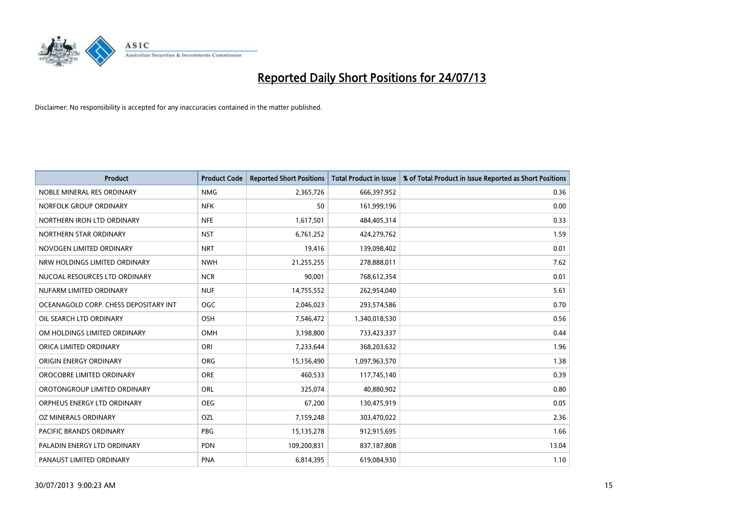

| <b>Product</b>                        | <b>Product Code</b> | <b>Reported Short Positions</b> | <b>Total Product in Issue</b> | % of Total Product in Issue Reported as Short Positions |
|---------------------------------------|---------------------|---------------------------------|-------------------------------|---------------------------------------------------------|
| NOBLE MINERAL RES ORDINARY            | <b>NMG</b>          | 2,365,726                       | 666,397,952                   | 0.36                                                    |
| NORFOLK GROUP ORDINARY                | <b>NFK</b>          | 50                              | 161,999,196                   | 0.00                                                    |
| NORTHERN IRON LTD ORDINARY            | <b>NFE</b>          | 1,617,501                       | 484,405,314                   | 0.33                                                    |
| NORTHERN STAR ORDINARY                | <b>NST</b>          | 6,761,252                       | 424,279,762                   | 1.59                                                    |
| NOVOGEN LIMITED ORDINARY              | <b>NRT</b>          | 19,416                          | 139,098,402                   | 0.01                                                    |
| NRW HOLDINGS LIMITED ORDINARY         | <b>NWH</b>          | 21,255,255                      | 278,888,011                   | 7.62                                                    |
| NUCOAL RESOURCES LTD ORDINARY         | <b>NCR</b>          | 90,001                          | 768,612,354                   | 0.01                                                    |
| NUFARM LIMITED ORDINARY               | <b>NUF</b>          | 14,755,552                      | 262,954,040                   | 5.61                                                    |
| OCEANAGOLD CORP. CHESS DEPOSITARY INT | <b>OGC</b>          | 2,046,023                       | 293,574,586                   | 0.70                                                    |
| OIL SEARCH LTD ORDINARY               | OSH                 | 7,546,472                       | 1,340,018,530                 | 0.56                                                    |
| OM HOLDINGS LIMITED ORDINARY          | OMH                 | 3,198,800                       | 733,423,337                   | 0.44                                                    |
| ORICA LIMITED ORDINARY                | ORI                 | 7,233,644                       | 368,203,632                   | 1.96                                                    |
| ORIGIN ENERGY ORDINARY                | <b>ORG</b>          | 15,156,490                      | 1,097,963,570                 | 1.38                                                    |
| OROCOBRE LIMITED ORDINARY             | <b>ORE</b>          | 460,533                         | 117,745,140                   | 0.39                                                    |
| OROTONGROUP LIMITED ORDINARY          | <b>ORL</b>          | 325,074                         | 40,880,902                    | 0.80                                                    |
| ORPHEUS ENERGY LTD ORDINARY           | <b>OEG</b>          | 67,200                          | 130,475,919                   | 0.05                                                    |
| OZ MINERALS ORDINARY                  | OZL                 | 7,159,248                       | 303,470,022                   | 2.36                                                    |
| PACIFIC BRANDS ORDINARY               | <b>PBG</b>          | 15, 135, 278                    | 912,915,695                   | 1.66                                                    |
| PALADIN ENERGY LTD ORDINARY           | <b>PDN</b>          | 109,200,831                     | 837,187,808                   | 13.04                                                   |
| PANAUST LIMITED ORDINARY              | <b>PNA</b>          | 6,814,395                       | 619,084,930                   | 1.10                                                    |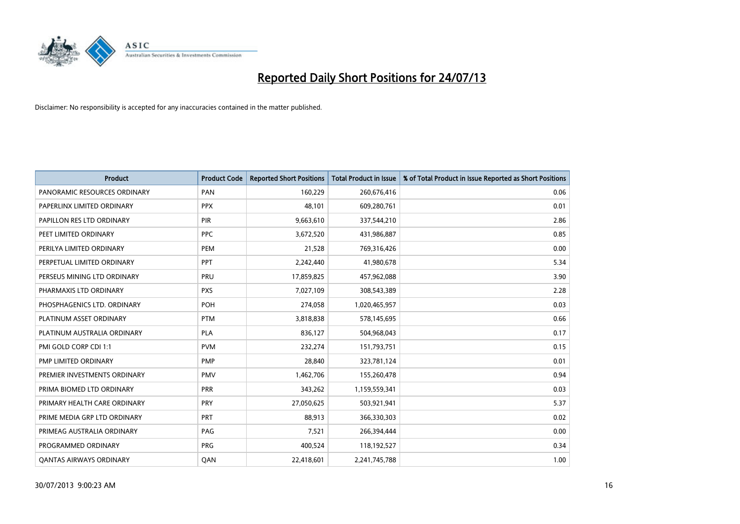

| <b>Product</b>                 | <b>Product Code</b> | <b>Reported Short Positions</b> | <b>Total Product in Issue</b> | % of Total Product in Issue Reported as Short Positions |
|--------------------------------|---------------------|---------------------------------|-------------------------------|---------------------------------------------------------|
| PANORAMIC RESOURCES ORDINARY   | PAN                 | 160,229                         | 260,676,416                   | 0.06                                                    |
| PAPERLINX LIMITED ORDINARY     | <b>PPX</b>          | 48,101                          | 609,280,761                   | 0.01                                                    |
| PAPILLON RES LTD ORDINARY      | <b>PIR</b>          | 9,663,610                       | 337,544,210                   | 2.86                                                    |
| PEET LIMITED ORDINARY          | <b>PPC</b>          | 3,672,520                       | 431,986,887                   | 0.85                                                    |
| PERILYA LIMITED ORDINARY       | PEM                 | 21,528                          | 769,316,426                   | 0.00                                                    |
| PERPETUAL LIMITED ORDINARY     | PPT                 | 2,242,440                       | 41,980,678                    | 5.34                                                    |
| PERSEUS MINING LTD ORDINARY    | PRU                 | 17,859,825                      | 457,962,088                   | 3.90                                                    |
| PHARMAXIS LTD ORDINARY         | <b>PXS</b>          | 7,027,109                       | 308,543,389                   | 2.28                                                    |
| PHOSPHAGENICS LTD. ORDINARY    | POH                 | 274,058                         | 1,020,465,957                 | 0.03                                                    |
| PLATINUM ASSET ORDINARY        | <b>PTM</b>          | 3,818,838                       | 578,145,695                   | 0.66                                                    |
| PLATINUM AUSTRALIA ORDINARY    | <b>PLA</b>          | 836,127                         | 504,968,043                   | 0.17                                                    |
| PMI GOLD CORP CDI 1:1          | <b>PVM</b>          | 232,274                         | 151,793,751                   | 0.15                                                    |
| PMP LIMITED ORDINARY           | <b>PMP</b>          | 28,840                          | 323,781,124                   | 0.01                                                    |
| PREMIER INVESTMENTS ORDINARY   | <b>PMV</b>          | 1,462,706                       | 155,260,478                   | 0.94                                                    |
| PRIMA BIOMED LTD ORDINARY      | <b>PRR</b>          | 343,262                         | 1,159,559,341                 | 0.03                                                    |
| PRIMARY HEALTH CARE ORDINARY   | <b>PRY</b>          | 27,050,625                      | 503,921,941                   | 5.37                                                    |
| PRIME MEDIA GRP LTD ORDINARY   | PRT                 | 88,913                          | 366,330,303                   | 0.02                                                    |
| PRIMEAG AUSTRALIA ORDINARY     | PAG                 | 7,521                           | 266,394,444                   | 0.00                                                    |
| PROGRAMMED ORDINARY            | <b>PRG</b>          | 400,524                         | 118,192,527                   | 0.34                                                    |
| <b>QANTAS AIRWAYS ORDINARY</b> | QAN                 | 22,418,601                      | 2,241,745,788                 | 1.00                                                    |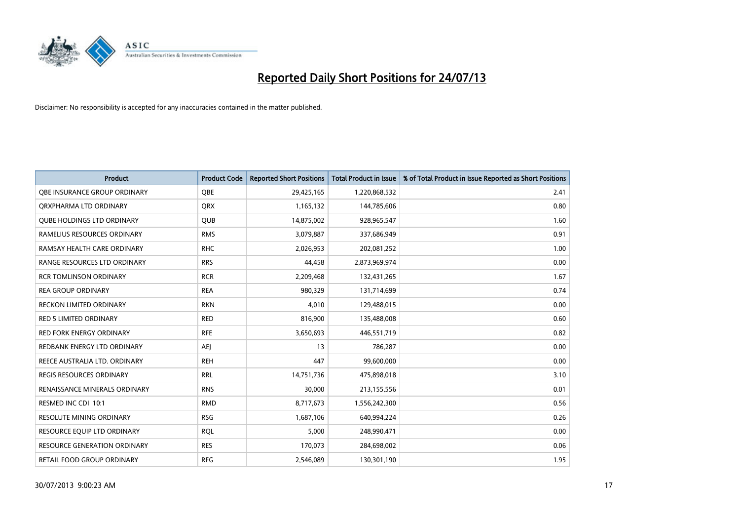

| <b>Product</b>                      | <b>Product Code</b> | <b>Reported Short Positions</b> | <b>Total Product in Issue</b> | % of Total Product in Issue Reported as Short Positions |
|-------------------------------------|---------------------|---------------------------------|-------------------------------|---------------------------------------------------------|
| OBE INSURANCE GROUP ORDINARY        | <b>OBE</b>          | 29,425,165                      | 1,220,868,532                 | 2.41                                                    |
| ORXPHARMA LTD ORDINARY              | QRX                 | 1,165,132                       | 144,785,606                   | 0.80                                                    |
| <b>QUBE HOLDINGS LTD ORDINARY</b>   | <b>QUB</b>          | 14,875,002                      | 928,965,547                   | 1.60                                                    |
| RAMELIUS RESOURCES ORDINARY         | <b>RMS</b>          | 3,079,887                       | 337,686,949                   | 0.91                                                    |
| RAMSAY HEALTH CARE ORDINARY         | <b>RHC</b>          | 2,026,953                       | 202,081,252                   | 1.00                                                    |
| RANGE RESOURCES LTD ORDINARY        | <b>RRS</b>          | 44,458                          | 2,873,969,974                 | 0.00                                                    |
| <b>RCR TOMLINSON ORDINARY</b>       | <b>RCR</b>          | 2,209,468                       | 132,431,265                   | 1.67                                                    |
| <b>REA GROUP ORDINARY</b>           | <b>REA</b>          | 980,329                         | 131,714,699                   | 0.74                                                    |
| <b>RECKON LIMITED ORDINARY</b>      | <b>RKN</b>          | 4,010                           | 129,488,015                   | 0.00                                                    |
| <b>RED 5 LIMITED ORDINARY</b>       | <b>RED</b>          | 816,900                         | 135,488,008                   | 0.60                                                    |
| <b>RED FORK ENERGY ORDINARY</b>     | <b>RFE</b>          | 3,650,693                       | 446,551,719                   | 0.82                                                    |
| REDBANK ENERGY LTD ORDINARY         | AEJ                 | 13                              | 786,287                       | 0.00                                                    |
| REECE AUSTRALIA LTD. ORDINARY       | <b>REH</b>          | 447                             | 99,600,000                    | 0.00                                                    |
| <b>REGIS RESOURCES ORDINARY</b>     | <b>RRL</b>          | 14,751,736                      | 475,898,018                   | 3.10                                                    |
| RENAISSANCE MINERALS ORDINARY       | <b>RNS</b>          | 30,000                          | 213,155,556                   | 0.01                                                    |
| RESMED INC CDI 10:1                 | <b>RMD</b>          | 8,717,673                       | 1,556,242,300                 | 0.56                                                    |
| RESOLUTE MINING ORDINARY            | <b>RSG</b>          | 1,687,106                       | 640,994,224                   | 0.26                                                    |
| RESOURCE EQUIP LTD ORDINARY         | <b>RQL</b>          | 5,000                           | 248,990,471                   | 0.00                                                    |
| <b>RESOURCE GENERATION ORDINARY</b> | <b>RES</b>          | 170,073                         | 284,698,002                   | 0.06                                                    |
| RETAIL FOOD GROUP ORDINARY          | <b>RFG</b>          | 2,546,089                       | 130,301,190                   | 1.95                                                    |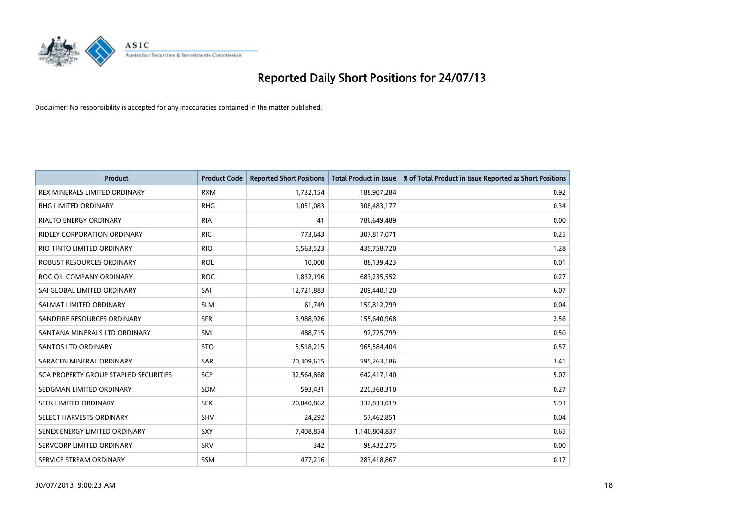

| <b>Product</b>                        | <b>Product Code</b> | <b>Reported Short Positions</b> | <b>Total Product in Issue</b> | % of Total Product in Issue Reported as Short Positions |
|---------------------------------------|---------------------|---------------------------------|-------------------------------|---------------------------------------------------------|
| REX MINERALS LIMITED ORDINARY         | <b>RXM</b>          | 1,732,154                       | 188,907,284                   | 0.92                                                    |
| RHG LIMITED ORDINARY                  | <b>RHG</b>          | 1,051,083                       | 308,483,177                   | 0.34                                                    |
| <b>RIALTO ENERGY ORDINARY</b>         | <b>RIA</b>          | 41                              | 786,649,489                   | 0.00                                                    |
| <b>RIDLEY CORPORATION ORDINARY</b>    | <b>RIC</b>          | 773,643                         | 307,817,071                   | 0.25                                                    |
| RIO TINTO LIMITED ORDINARY            | <b>RIO</b>          | 5,563,523                       | 435,758,720                   | 1.28                                                    |
| <b>ROBUST RESOURCES ORDINARY</b>      | <b>ROL</b>          | 10,000                          | 88,139,423                    | 0.01                                                    |
| ROC OIL COMPANY ORDINARY              | <b>ROC</b>          | 1,832,196                       | 683,235,552                   | 0.27                                                    |
| SAI GLOBAL LIMITED ORDINARY           | SAI                 | 12,721,883                      | 209,440,120                   | 6.07                                                    |
| SALMAT LIMITED ORDINARY               | <b>SLM</b>          | 61.749                          | 159,812,799                   | 0.04                                                    |
| SANDFIRE RESOURCES ORDINARY           | <b>SFR</b>          | 3,988,926                       | 155,640,968                   | 2.56                                                    |
| SANTANA MINERALS LTD ORDINARY         | SMI                 | 488,715                         | 97,725,799                    | 0.50                                                    |
| SANTOS LTD ORDINARY                   | <b>STO</b>          | 5,518,215                       | 965,584,404                   | 0.57                                                    |
| SARACEN MINERAL ORDINARY              | SAR                 | 20,309,615                      | 595,263,186                   | 3.41                                                    |
| SCA PROPERTY GROUP STAPLED SECURITIES | <b>SCP</b>          | 32,564,868                      | 642,417,140                   | 5.07                                                    |
| SEDGMAN LIMITED ORDINARY              | <b>SDM</b>          | 593,431                         | 220,368,310                   | 0.27                                                    |
| SEEK LIMITED ORDINARY                 | <b>SEK</b>          | 20,040,862                      | 337,833,019                   | 5.93                                                    |
| SELECT HARVESTS ORDINARY              | SHV                 | 24,292                          | 57,462,851                    | 0.04                                                    |
| SENEX ENERGY LIMITED ORDINARY         | <b>SXY</b>          | 7,408,854                       | 1,140,804,837                 | 0.65                                                    |
| SERVCORP LIMITED ORDINARY             | SRV                 | 342                             | 98,432,275                    | 0.00                                                    |
| SERVICE STREAM ORDINARY               | SSM                 | 477,216                         | 283,418,867                   | 0.17                                                    |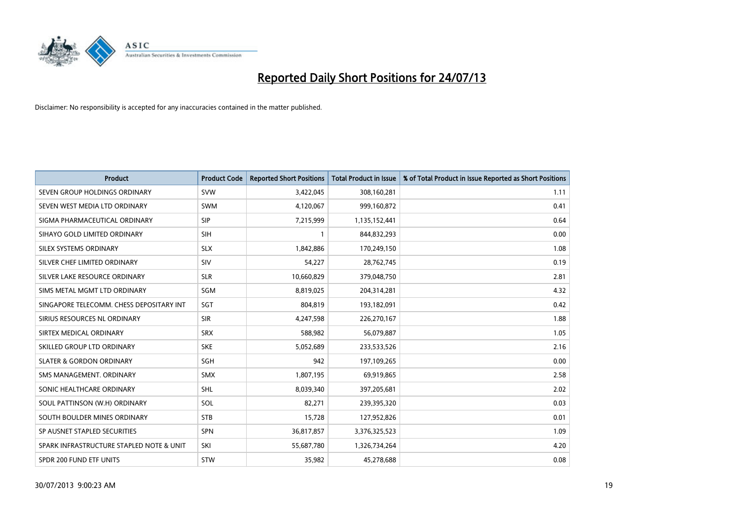

| <b>Product</b>                           | <b>Product Code</b> | <b>Reported Short Positions</b> | <b>Total Product in Issue</b> | % of Total Product in Issue Reported as Short Positions |
|------------------------------------------|---------------------|---------------------------------|-------------------------------|---------------------------------------------------------|
| SEVEN GROUP HOLDINGS ORDINARY            | <b>SVW</b>          | 3,422,045                       | 308,160,281                   | 1.11                                                    |
| SEVEN WEST MEDIA LTD ORDINARY            | <b>SWM</b>          | 4,120,067                       | 999,160,872                   | 0.41                                                    |
| SIGMA PHARMACEUTICAL ORDINARY            | <b>SIP</b>          | 7,215,999                       | 1,135,152,441                 | 0.64                                                    |
| SIHAYO GOLD LIMITED ORDINARY             | <b>SIH</b>          | 1                               | 844,832,293                   | 0.00                                                    |
| SILEX SYSTEMS ORDINARY                   | <b>SLX</b>          | 1,842,886                       | 170,249,150                   | 1.08                                                    |
| SILVER CHEF LIMITED ORDINARY             | SIV                 | 54,227                          | 28,762,745                    | 0.19                                                    |
| SILVER LAKE RESOURCE ORDINARY            | <b>SLR</b>          | 10,660,829                      | 379,048,750                   | 2.81                                                    |
| SIMS METAL MGMT LTD ORDINARY             | SGM                 | 8,819,025                       | 204,314,281                   | 4.32                                                    |
| SINGAPORE TELECOMM. CHESS DEPOSITARY INT | <b>SGT</b>          | 804,819                         | 193,182,091                   | 0.42                                                    |
| SIRIUS RESOURCES NL ORDINARY             | <b>SIR</b>          | 4,247,598                       | 226,270,167                   | 1.88                                                    |
| SIRTEX MEDICAL ORDINARY                  | <b>SRX</b>          | 588,982                         | 56,079,887                    | 1.05                                                    |
| SKILLED GROUP LTD ORDINARY               | <b>SKE</b>          | 5,052,689                       | 233,533,526                   | 2.16                                                    |
| <b>SLATER &amp; GORDON ORDINARY</b>      | SGH                 | 942                             | 197,109,265                   | 0.00                                                    |
| SMS MANAGEMENT, ORDINARY                 | <b>SMX</b>          | 1,807,195                       | 69,919,865                    | 2.58                                                    |
| SONIC HEALTHCARE ORDINARY                | <b>SHL</b>          | 8,039,340                       | 397,205,681                   | 2.02                                                    |
| SOUL PATTINSON (W.H) ORDINARY            | SOL                 | 82,271                          | 239,395,320                   | 0.03                                                    |
| SOUTH BOULDER MINES ORDINARY             | <b>STB</b>          | 15,728                          | 127,952,826                   | 0.01                                                    |
| SP AUSNET STAPLED SECURITIES             | <b>SPN</b>          | 36,817,857                      | 3,376,325,523                 | 1.09                                                    |
| SPARK INFRASTRUCTURE STAPLED NOTE & UNIT | SKI                 | 55,687,780                      | 1,326,734,264                 | 4.20                                                    |
| SPDR 200 FUND ETF UNITS                  | <b>STW</b>          | 35,982                          | 45,278,688                    | 0.08                                                    |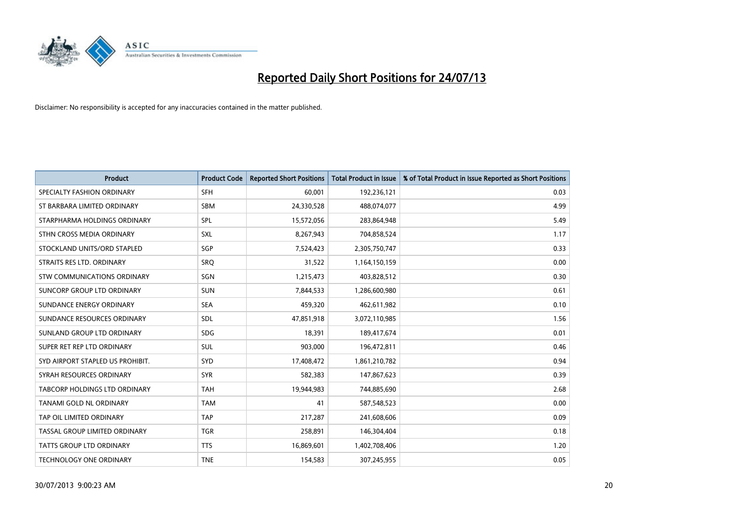

| <b>Product</b>                     | <b>Product Code</b> | <b>Reported Short Positions</b> | <b>Total Product in Issue</b> | % of Total Product in Issue Reported as Short Positions |
|------------------------------------|---------------------|---------------------------------|-------------------------------|---------------------------------------------------------|
| SPECIALTY FASHION ORDINARY         | <b>SFH</b>          | 60,001                          | 192,236,121                   | 0.03                                                    |
| ST BARBARA LIMITED ORDINARY        | <b>SBM</b>          | 24,330,528                      | 488,074,077                   | 4.99                                                    |
| STARPHARMA HOLDINGS ORDINARY       | SPL                 | 15,572,056                      | 283,864,948                   | 5.49                                                    |
| STHN CROSS MEDIA ORDINARY          | <b>SXL</b>          | 8,267,943                       | 704,858,524                   | 1.17                                                    |
| STOCKLAND UNITS/ORD STAPLED        | SGP                 | 7,524,423                       | 2,305,750,747                 | 0.33                                                    |
| STRAITS RES LTD. ORDINARY          | SRQ                 | 31,522                          | 1,164,150,159                 | 0.00                                                    |
| <b>STW COMMUNICATIONS ORDINARY</b> | SGN                 | 1,215,473                       | 403,828,512                   | 0.30                                                    |
| SUNCORP GROUP LTD ORDINARY         | <b>SUN</b>          | 7,844,533                       | 1,286,600,980                 | 0.61                                                    |
| SUNDANCE ENERGY ORDINARY           | <b>SEA</b>          | 459,320                         | 462,611,982                   | 0.10                                                    |
| SUNDANCE RESOURCES ORDINARY        | <b>SDL</b>          | 47,851,918                      | 3,072,110,985                 | 1.56                                                    |
| SUNLAND GROUP LTD ORDINARY         | <b>SDG</b>          | 18,391                          | 189,417,674                   | 0.01                                                    |
| SUPER RET REP LTD ORDINARY         | SUL                 | 903,000                         | 196,472,811                   | 0.46                                                    |
| SYD AIRPORT STAPLED US PROHIBIT.   | <b>SYD</b>          | 17,408,472                      | 1,861,210,782                 | 0.94                                                    |
| SYRAH RESOURCES ORDINARY           | <b>SYR</b>          | 582,383                         | 147,867,623                   | 0.39                                                    |
| TABCORP HOLDINGS LTD ORDINARY      | <b>TAH</b>          | 19,944,983                      | 744,885,690                   | 2.68                                                    |
| TANAMI GOLD NL ORDINARY            | <b>TAM</b>          | 41                              | 587,548,523                   | 0.00                                                    |
| TAP OIL LIMITED ORDINARY           | <b>TAP</b>          | 217,287                         | 241,608,606                   | 0.09                                                    |
| TASSAL GROUP LIMITED ORDINARY      | <b>TGR</b>          | 258,891                         | 146,304,404                   | 0.18                                                    |
| <b>TATTS GROUP LTD ORDINARY</b>    | <b>TTS</b>          | 16,869,601                      | 1,402,708,406                 | 1.20                                                    |
| TECHNOLOGY ONE ORDINARY            | <b>TNE</b>          | 154,583                         | 307,245,955                   | 0.05                                                    |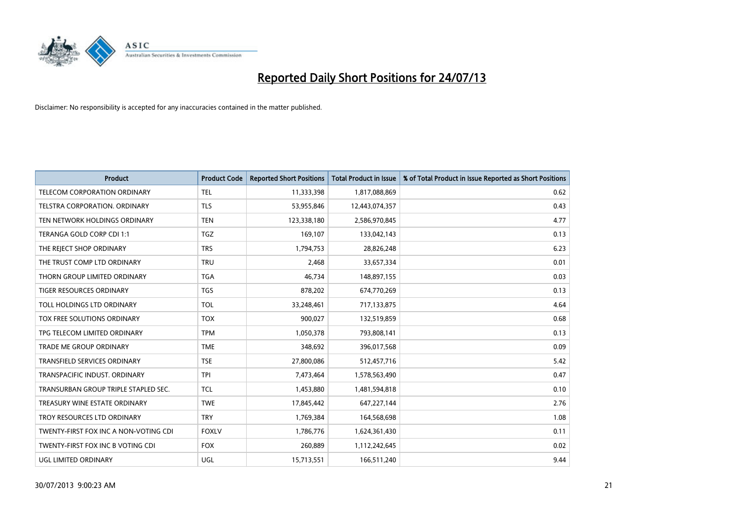

| <b>Product</b>                        | <b>Product Code</b> | <b>Reported Short Positions</b> | <b>Total Product in Issue</b> | % of Total Product in Issue Reported as Short Positions |
|---------------------------------------|---------------------|---------------------------------|-------------------------------|---------------------------------------------------------|
| <b>TELECOM CORPORATION ORDINARY</b>   | <b>TEL</b>          | 11,333,398                      | 1,817,088,869                 | 0.62                                                    |
| TELSTRA CORPORATION. ORDINARY         | <b>TLS</b>          | 53,955,846                      | 12,443,074,357                | 0.43                                                    |
| TEN NETWORK HOLDINGS ORDINARY         | <b>TEN</b>          | 123,338,180                     | 2,586,970,845                 | 4.77                                                    |
| TERANGA GOLD CORP CDI 1:1             | <b>TGZ</b>          | 169,107                         | 133,042,143                   | 0.13                                                    |
| THE REJECT SHOP ORDINARY              | <b>TRS</b>          | 1,794,753                       | 28,826,248                    | 6.23                                                    |
| THE TRUST COMP LTD ORDINARY           | <b>TRU</b>          | 2,468                           | 33,657,334                    | 0.01                                                    |
| THORN GROUP LIMITED ORDINARY          | <b>TGA</b>          | 46,734                          | 148,897,155                   | 0.03                                                    |
| TIGER RESOURCES ORDINARY              | <b>TGS</b>          | 878,202                         | 674,770,269                   | 0.13                                                    |
| TOLL HOLDINGS LTD ORDINARY            | <b>TOL</b>          | 33,248,461                      | 717,133,875                   | 4.64                                                    |
| TOX FREE SOLUTIONS ORDINARY           | <b>TOX</b>          | 900,027                         | 132,519,859                   | 0.68                                                    |
| TPG TELECOM LIMITED ORDINARY          | <b>TPM</b>          | 1,050,378                       | 793,808,141                   | 0.13                                                    |
| TRADE ME GROUP ORDINARY               | <b>TME</b>          | 348,692                         | 396,017,568                   | 0.09                                                    |
| <b>TRANSFIELD SERVICES ORDINARY</b>   | <b>TSE</b>          | 27,800,086                      | 512,457,716                   | 5.42                                                    |
| TRANSPACIFIC INDUST, ORDINARY         | <b>TPI</b>          | 7,473,464                       | 1,578,563,490                 | 0.47                                                    |
| TRANSURBAN GROUP TRIPLE STAPLED SEC.  | <b>TCL</b>          | 1,453,880                       | 1,481,594,818                 | 0.10                                                    |
| TREASURY WINE ESTATE ORDINARY         | <b>TWE</b>          | 17,845,442                      | 647,227,144                   | 2.76                                                    |
| TROY RESOURCES LTD ORDINARY           | <b>TRY</b>          | 1,769,384                       | 164,568,698                   | 1.08                                                    |
| TWENTY-FIRST FOX INC A NON-VOTING CDI | <b>FOXLV</b>        | 1,786,776                       | 1,624,361,430                 | 0.11                                                    |
| TWENTY-FIRST FOX INC B VOTING CDI     | <b>FOX</b>          | 260,889                         | 1,112,242,645                 | 0.02                                                    |
| UGL LIMITED ORDINARY                  | UGL                 | 15,713,551                      | 166,511,240                   | 9.44                                                    |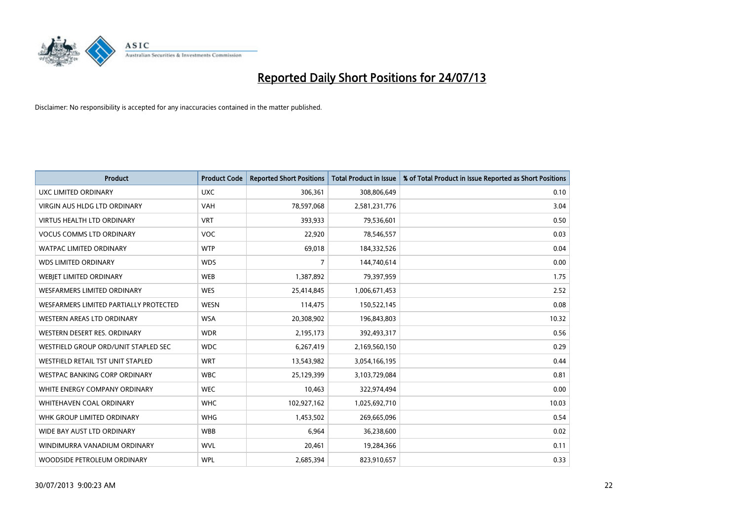

| <b>Product</b>                         | <b>Product Code</b> | <b>Reported Short Positions</b> | <b>Total Product in Issue</b> | % of Total Product in Issue Reported as Short Positions |
|----------------------------------------|---------------------|---------------------------------|-------------------------------|---------------------------------------------------------|
| <b>UXC LIMITED ORDINARY</b>            | <b>UXC</b>          | 306,361                         | 308,806,649                   | 0.10                                                    |
| VIRGIN AUS HLDG LTD ORDINARY           | <b>VAH</b>          | 78,597,068                      | 2,581,231,776                 | 3.04                                                    |
| <b>VIRTUS HEALTH LTD ORDINARY</b>      | <b>VRT</b>          | 393,933                         | 79,536,601                    | 0.50                                                    |
| <b>VOCUS COMMS LTD ORDINARY</b>        | <b>VOC</b>          | 22,920                          | 78,546,557                    | 0.03                                                    |
| <b>WATPAC LIMITED ORDINARY</b>         | <b>WTP</b>          | 69,018                          | 184,332,526                   | 0.04                                                    |
| <b>WDS LIMITED ORDINARY</b>            | <b>WDS</b>          | 7                               | 144,740,614                   | 0.00                                                    |
| <b>WEBIET LIMITED ORDINARY</b>         | <b>WEB</b>          | 1,387,892                       | 79,397,959                    | 1.75                                                    |
| <b>WESFARMERS LIMITED ORDINARY</b>     | <b>WES</b>          | 25,414,845                      | 1,006,671,453                 | 2.52                                                    |
| WESFARMERS LIMITED PARTIALLY PROTECTED | <b>WESN</b>         | 114,475                         | 150,522,145                   | 0.08                                                    |
| WESTERN AREAS LTD ORDINARY             | <b>WSA</b>          | 20,308,902                      | 196,843,803                   | 10.32                                                   |
| WESTERN DESERT RES. ORDINARY           | <b>WDR</b>          | 2,195,173                       | 392,493,317                   | 0.56                                                    |
| WESTFIELD GROUP ORD/UNIT STAPLED SEC   | <b>WDC</b>          | 6,267,419                       | 2,169,560,150                 | 0.29                                                    |
| WESTFIELD RETAIL TST UNIT STAPLED      | <b>WRT</b>          | 13,543,982                      | 3,054,166,195                 | 0.44                                                    |
| <b>WESTPAC BANKING CORP ORDINARY</b>   | <b>WBC</b>          | 25,129,399                      | 3,103,729,084                 | 0.81                                                    |
| WHITE ENERGY COMPANY ORDINARY          | <b>WEC</b>          | 10,463                          | 322,974,494                   | 0.00                                                    |
| WHITEHAVEN COAL ORDINARY               | <b>WHC</b>          | 102,927,162                     | 1,025,692,710                 | 10.03                                                   |
| WHK GROUP LIMITED ORDINARY             | <b>WHG</b>          | 1,453,502                       | 269,665,096                   | 0.54                                                    |
| WIDE BAY AUST LTD ORDINARY             | <b>WBB</b>          | 6,964                           | 36,238,600                    | 0.02                                                    |
| WINDIMURRA VANADIUM ORDINARY           | <b>WVL</b>          | 20,461                          | 19,284,366                    | 0.11                                                    |
| WOODSIDE PETROLEUM ORDINARY            | <b>WPL</b>          | 2,685,394                       | 823,910,657                   | 0.33                                                    |